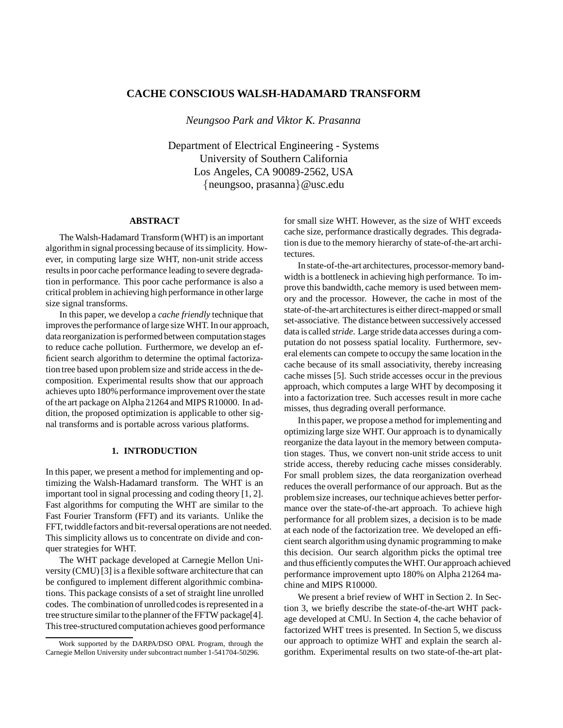# **CACHE CONSCIOUS WALSH-HADAMARD TRANSFORM**

*Neungsoo Park and Viktor K. Prasanna*

Department of Electrical Engineering - Systems University of Southern California Los Angeles, CA 90089-2562, USA {neungsoo, prasanna}@usc.edu

# **ABSTRACT**

The Walsh-Hadamard Transform (WHT) is an important algorithmin signal processing because of its simplicity. However, in computing large size WHT, non-unit stride access results in poor cache performance leading to severe degradation in performance. This poor cache performance is also a critical problem in achieving high performance in other large size signal transforms.

In this paper, we develop a *cache friendly* technique that improves the performance of large size WHT. In our approach, data reorganization is performed between computation stages to reduce cache pollution. Furthermore, we develop an efficient search algorithm to determine the optimal factorization tree based upon problem size and stride access in the decomposition. Experimental results show that our approach achieves upto 180% performance improvement over the state of the art package on Alpha 21264 and MIPS R10000. In addition, the proposed optimization is applicable to other signal transforms and is portable across various platforms.

# **1. INTRODUCTION**

In this paper, we present a method for implementing and optimizing the Walsh-Hadamard transform. The WHT is an important tool in signal processing and coding theory [1, 2]. Fast algorithms for computing the WHT are similar to the Fast Fourier Transform (FFT) and its variants. Unlike the FFT, twiddle factors and bit-reversal operations are not needed. This simplicity allows us to concentrate on divide and conquer strategies for WHT.

The WHT package developed at Carnegie Mellon University (CMU) [3] is a flexible software architecture that can be configured to implement different algorithmic combinations. This package consists of a set of straight line unrolled codes. The combination of unrolled codes is represented in a tree structure similar to the planner of the FFTW package[4]. This tree-structured computation achieves good performance for small size WHT. However, as the size of WHT exceeds cache size, performance drastically degrades. This degradation is due to the memory hierarchy of state-of-the-art architectures.

In state-of-the-art architectures, processor-memory bandwidth is a bottleneck in achieving high performance. To improve this bandwidth, cache memory is used between memory and the processor. However, the cache in most of the state-of-the-art architectures is either direct-mapped or small set-associative. The distance between successively accessed data is called *stride*. Large stride data accesses duringa computation do not possess spatial locality. Furthermore, several elements can compete to occupy the same location in the cache because of its small associativity, thereby increasing cache misses [5]. Such stride accesses occur in the previous approach, which computes a large WHT by decomposing it into a factorization tree. Such accesses result in more cache misses, thus degrading overall performance.

In this paper, we propose a method for implementing and optimizing large size WHT. Our approach is to dynamically reorganize the data layout in the memory between computation stages. Thus, we convert non-unit stride access to unit stride access, thereby reducing cache misses considerably. For small problem sizes, the data reorganization overhead reduces the overall performance of our approach. But as the problem size increases, our technique achieves better performance over the state-of-the-art approach. To achieve high performance for all problem sizes, a decision is to be made at each node of the factorization tree. We developed an efficient search algorithm using dynamic programming to make this decision. Our search algorithm picks the optimal tree and thus efficiently computes the WHT. Our approach achieved performance improvement upto 180% on Alpha 21264 machine and MIPS R10000.

We present a brief review of WHT in Section 2. In Section 3, we briefly describe the state-of-the-art WHT package developed at CMU. In Section 4, the cache behavior of factorized WHT trees is presented. In Section 5, we discuss our approach to optimize WHT and explain the search algorithm. Experimental results on two state-of-the-art plat-

Work supported by the DARPA/DSO OPAL Program, through the Carnegie Mellon University under subcontract number 1-541704-50296.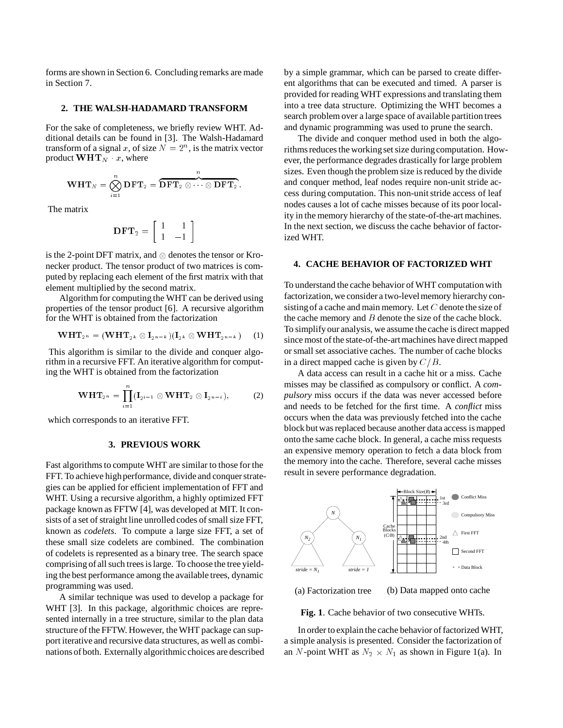forms are shown in Section 6. Concluding remarks are made in Section 7.

## **2. THE WALSH-HADAMARD TRANSFORM**

For the sake of completeness, we briefly review WHT. Additional details can be found in [3]. The Walsh-Hadamard transform of a signal x, of size  $N = 2<sup>n</sup>$ , is the matrix vector product  $\mathbf{WHT}_N$  *x*, where

$$
\mathbf{WHT}_N = \bigotimes_{i=1}^n \mathbf{DFT}_2 = \overbrace{\mathbf{DFT}}_2 \otimes \cdots \otimes \mathbf{DFT}_2
$$

The matrix

$$
\mathbf{DFT}_2 = \left[ \begin{array}{cc} 1 & 1 \\ 1 & -1 \end{array} \right]
$$

is the 2-point DFT matrix, and  $\otimes$  denotes the tensor or Kronecker product. The tensor product of two matrices is computed by replacing each element of the first matrix with that element multiplied by the second matrix.

Algorithm for computing the WHT can be derived using properties of the tensor product [6]. A recursive algorithm for the WHT is obtained from the factorization

$$
\mathbf{WHT}_{2^n} = (\mathbf{WHT}_{2^k} \otimes \mathbf{I}_{2^{n-k}})(\mathbf{I}_{2^k} \otimes \mathbf{WHT}_{2^{n-k}})
$$
 (1)

This algorithm is similar to the divide and conquer algorithm in a recursive FFT. An iterative algorithm for computing the WHT is obtained from the factorization

$$
\mathbf{WHT}_{2^n} = \prod_{i=1}^n (\mathbf{I}_{2^{i-1}} \otimes \mathbf{WHT}_2 \otimes \mathbf{I}_{2^{n-i}}), \tag{2}
$$

which corresponds to an iterative FFT.

# **3. PREVIOUS WORK**

Fast algorithms to compute WHT are similar to those for the FFT. To achieve high performance, divide and conquer strategies can be applied for efficient implementation of FFT and WHT. Using a recursive algorithm, a highly optimized FFT package known as FFTW [4], was developed at MIT. It consists of a set of straight line unrolled codes of small size FFT, known as *codelets*. To compute a large size FFT, a set of these small size codelets are combined. The combination of codelets is represented as a binary tree. The search space comprising of all such trees is large. To choose the tree yielding the best performance among the available trees, dynamic programming was used.

A similar technique was used to develop a package for WHT [3]. In this package, algorithmic choices are represented internally in a tree structure, similar to the plan data structure of the FFTW. However, the WHT package can support iterative and recursive data structures, as well as combinations of both. Externally algorithmicchoices are described by a simple grammar, which can be parsed to create different algorithms that can be executed and timed. A parser is provided for reading WHT expressions and translating them into a tree data structure. Optimizing the WHT becomes a search problem over a large space of available partition trees and dynamic programming was used to prune the search.

The divide and conquer method used in both the algorithms reduces the working set size during computation. However, the performance degrades drastically for large problem sizes. Even though the problem size is reduced by the divide and conquer method, leaf nodes require non-unit stride access during computation. This non-unit stride access of leaf nodes causes a lot of cache misses because of its poor locality in the memory hierarchy of the state-of-the-art machines. In the next section, we discuss the cache behavior of factorized WHT.

## **4. CACHE BEHAVIOR OF FACTORIZED WHT**

To understand the cache behavior of WHT computation with factorization, we consider a two-level memory hierarchy consistingof a cache and main memory. Let <sup>C</sup> denote the size of the cache memory and  $B$  denote the size of the cache block. To simplifyour analysis, we assume the cache is direct mapped since most of the state-of-the-art machines have direct mapped or small set associative caches. The number of cache blocks in a direct mapped cache is given by  $C/B$ .

A data access can result in a cache hit or a miss. Cache misses may be classified as compulsory or conflict. A *compulsory* miss occurs if the data was never accessed before and needs to be fetched for the first time. A *conflict* miss occurs when the data was previously fetched into the cache block but was replaced because another data access is mapped onto the same cache block. In general, a cache miss requests an expensive memory operation to fetch a data block from the memory into the cache. Therefore, several cache misses result in severe performance degradation.



(a) Factorization tree (b) Data mapped onto cache

**Fig. 1**. Cache behavior of two consecutive WHTs.

In order to explain the cache behavior of factorized WHT, a simple analysis is presented. Consider the factorization of an N-point WHT as  $N_2 \times N_1$  as shown in Figure 1(a). In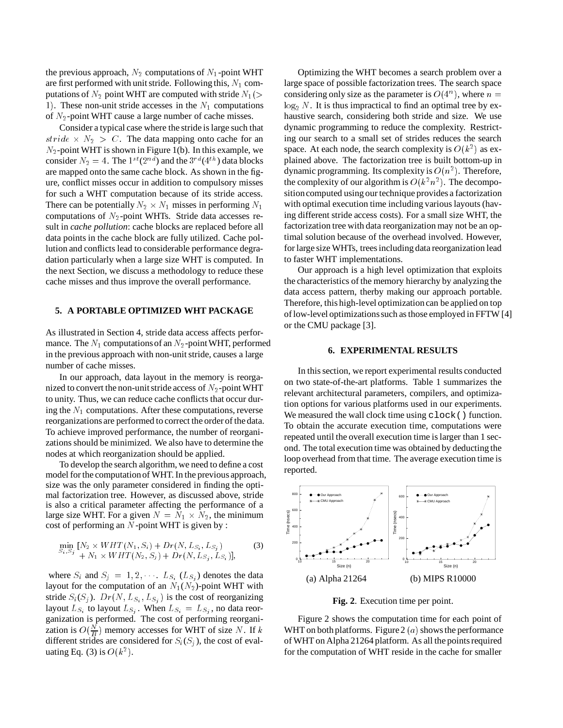the previous approach,  $N_2$  computations of  $N_1$ -point WHT are first performed with unit stride. Following this,  $N_1$  computations of  $N_2$  point WHT are computed with stride  $N_1(>$ 1). These non-unit stride accesses in the  $N_1$  computations of  $N_2$ -point WHT cause a large number of cache misses.

Consider a typical case where the stride is large such that stride  $\times N_2 > C$ . The data mapping onto cache for an  $N_2$ -point WHT is shown in Figure 1(b). In this example, we consider  $N_2 = 4$ . The  $1^{st}(2^{nd})$  and the  $3^{rd}(4^{th})$  data blocks are mapped onto the same cache block. As shown in the figure, conflict misses occur in addition to compulsory misses for such a WHT computation because of its stride access. There can be potentially  $N_2 \times N_1$  misses in performing  $N_1$ computations of  $N_2$ -point WHTs. Stride data accesses result in *cache pollution*: cache blocks are replaced before all data points in the cache block are fully utilized. Cache pollution and conflicts lead to considerable performance degradation particularly when a large size WHT is computed. In the next Section, we discuss a methodology to reduce these cache misses and thus improve the overall performance.

# **5. A PORTABLE OPTIMIZED WHT PACKAGE**

As illustrated in Section 4, stride data access affects performance. The  $N_1$  computations of an  $N_2$ -point WHT, performed in the previous approach with non-unit stride, causes a large number of cache misses.

In our approach, data layout in the memory is reorganized to convert the non-unit stride access of  $N_2$ -point WHT to unity. Thus, we can reduce cache conflicts that occur during the  $N_1$  computations. After these computations, reverse reorganizations are performed to correct the order of the data. To achieve improved performance, the number of reorganizations should be minimized. We also have to determine the nodes at which reorganization should be applied.

To develop the search algorithm, we need to define a cost model for the computation of WHT. In the previous approach, size was the only parameter considered in finding the optimal factorization tree. However, as discussed above, stride is also a critical parameter affecting the performance of a large size WHT. For a given  $N = N_1 \times N_2$ , the minimum cost of performing an <sup>N</sup>-point WHT is given by :

$$
\min_{S_i, S_j} \left[ N_2 \times WHT(N_1, S_i) + Dr(N, L_{S_i}, L_{S_j}) \right] \tag{3}
$$
\n
$$
+ N_1 \times WHT(N_2, S_j) + Dr(N, L_{S_j}, L_{S_i})],
$$

where  $S_i$  and  $S_j = 1, 2, \cdots$ .  $L_{S_i}$  ( $L_{S_j}$ ) denotes the data layout for the computation of an  $N_1(N_2)$ -point WHT with stride  $S_i(S_j)$ .  $Dr(N, L_{S_i}, L_{S_j})$  is the cost of reorganizing layout  $L_{S_i}$  to layout  $L_{S_i}$ . When  $L_{S_i} = L_{S_i}$ , no data reorganization is performed. The cost of performing reorganization is  $O(\frac{N}{B})$  memory accesses for WHT of size N. If k different strides are considered for  $S_i(S_j)$ , the cost of evaluating Eq. (3) is  $O(k^2)$ .

Optimizing the WHT becomes a search problem over a large space of possible factorization trees. The search space considering only size as the parameter is  $O(4^n)$ , where  $n =$  $log<sub>2</sub> N$ . It is thus impractical to find an optimal tree by exhaustive search, considering both stride and size. We use dynamic programming to reduce the complexity. Restricting our search to a small set of strides reduces the search space. At each node, the search complexity is  $O(k^2)$  as explained above. The factorization tree is built bottom-up in dynamic programming. Its complexity is  $O(n^2)$ . Therefore, the complexity of our algorithm is  $O(k^2n^2)$ . The decomposition computed using our technique provides a factorization with optimal execution time including various layouts (having different stride access costs). For a small size WHT, the factorization tree with data reorganization may not be an optimal solution because of the overhead involved. However, for large size WHTs, trees including data reorganization lead to faster WHT implementations.

Our approach is a high level optimization that exploits the characteristics of the memory hierarchy by analyzing the data access pattern, therby making our approach portable. Therefore, this high-level optimizationcan be applied on top of low-level optimizationssuch as those employed in FFTW [4] or the CMU package [3].

#### **6. EXPERIMENTAL RESULTS**

In this section, we report experimental results conducted on two state-of-the-art platforms. Table 1 summarizes the relevant architectural parameters, compilers, and optimization options for various platforms used in our experiments. We measured the wall clock time using clock () function. To obtain the accurate execution time, computations were repeated until the overall execution time is larger than 1 second. The total execution time was obtained by deducting the loop overhead from that time. The average execution time is reported.



**Fig. 2**. Execution time per point.

Figure 2 shows the computation time for each point of WHT on both platforms. Figure 2  $(a)$  shows the performance of WHT on Alpha 21264 platform. As all the points required for the computation of WHT reside in the cache for smaller